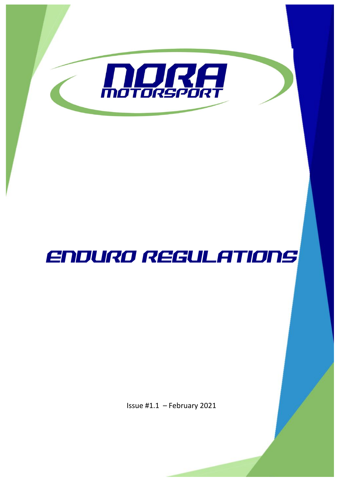

# ENDURO REGULATIONS

Issue #1.1 – February 2021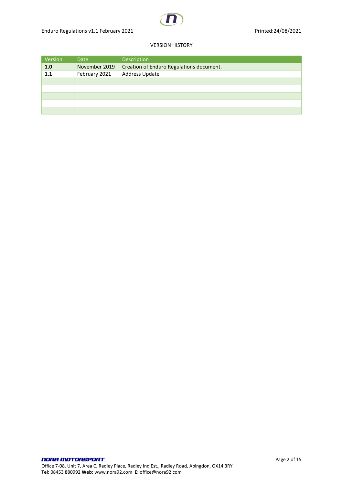#### VERSION HISTORY

| Version | Date          | Description                              |
|---------|---------------|------------------------------------------|
| 1.0     | November 2019 | Creation of Enduro Regulations document. |
| 1.1     | February 2021 | Address Update                           |
|         |               |                                          |
|         |               |                                          |
|         |               |                                          |
|         |               |                                          |
|         |               |                                          |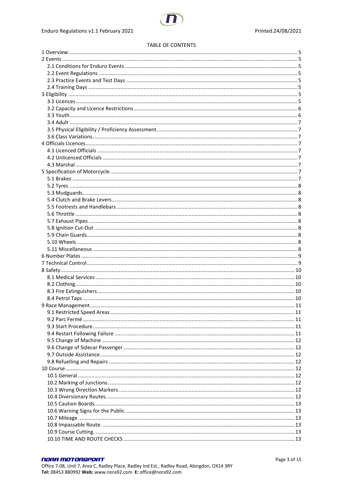#### **TABLE OF CONTENTS**

#### **NORA MOTORSPORT** Office 7-08, Unit 7, Area C, Radley Place, Radley Ind Est., Radley Road, Abingdon, OX14 3RY Tel: 08453 880992 Web: www.nora92.com E: office@nora92.com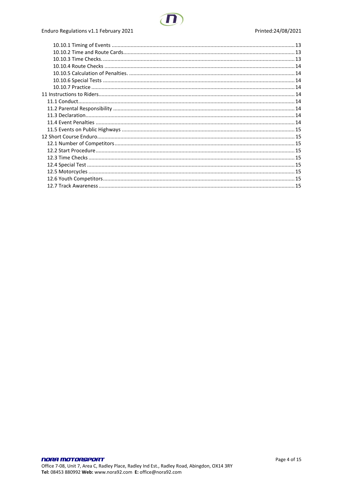### Enduro Regulations v1.1 February 2021

#### Printed:24/08/2021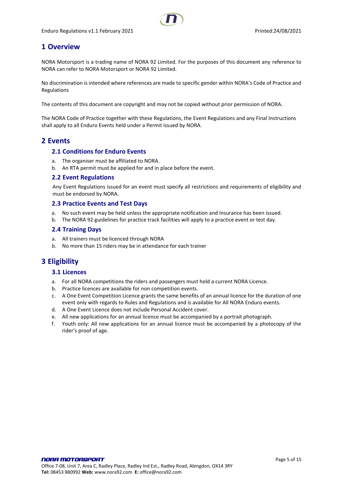# <span id="page-4-0"></span>**1 Overview**

NORA Motorsport is a trading name of NORA 92 Limited. For the purposes of this document any reference to NORA can refer to NORA Motorsport or NORA 92 Limited.

No discrimination is intended where references are made to specific gender within NORA's Code of Practice and Regulations

The contents of this document are copyright and may not be copied without prior permission of NORA.

The NORA Code of Practice together with these Regulations, the Event Regulations and any Final Instructions shall apply to all Enduro Events held under a Permit issued by NORA.

### <span id="page-4-2"></span><span id="page-4-1"></span>**2 Events**

#### **2.1 Conditions for Enduro Events**

- a. The organiser must be affiliated to NORA.
- b. An RTA permit must be applied for and in place before the event.

#### <span id="page-4-3"></span>**2.2 Event Regulations**

Any Event Regulations issued for an event must specify all restrictions and requirements of eligibility and must be endorsed by NORA.

#### <span id="page-4-4"></span>**2.3 Practice Events and Test Days**

- a. No such event may be held unless the appropriate notification and Insurance has been issued.
- b. The NORA 92 guidelines for practice track facilities will apply to a practice event or test day.

#### <span id="page-4-5"></span>**2.4 Training Days**

- a. All trainers must be licenced through NORA
- b. No more than 15 riders may be in attendance for each trainer

# <span id="page-4-7"></span><span id="page-4-6"></span>**3 Eligibility**

#### **3.1 Licences**

- a. For all NORA competitions the riders and passengers must hold a current NORA Licence.
- b. Practice licences are available for non competition events.
- c. A One Event Competition Licence grants the same benefits of an annual licence for the duration of one event only with regards to Rules and Regulations and is available for All NORA Enduro events.
- d. A One Event Licence does not include Personal Accident cover.
- e. All new applications for an annual licence must be accompanied by a portrait photograph.
- f. Youth only: All new applications for an annual licence must be accompanied by a photocopy of the rider's proof of age.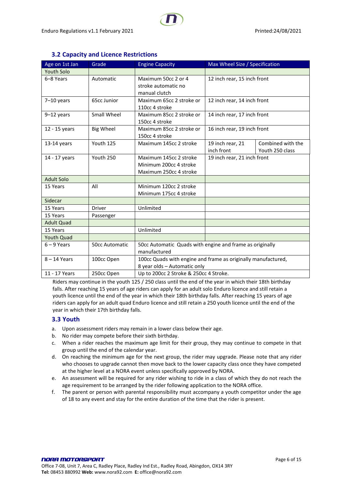<span id="page-5-0"></span>

| Age on 1st Jan    | Grade                 | <b>Engine Capacity</b>                                                                        | Max Wheel Size / Specification |                                      |
|-------------------|-----------------------|-----------------------------------------------------------------------------------------------|--------------------------------|--------------------------------------|
| Youth Solo        |                       |                                                                                               |                                |                                      |
| 6-8 Years         | Automatic             | Maximum 50cc 2 or 4<br>stroke automatic no<br>manual clutch                                   | 12 inch rear, 15 inch front    |                                      |
| $7-10$ years      | 65cc Junior           | Maximum 65cc 2 stroke or<br>110cc 4 stroke                                                    | 12 inch rear, 14 inch front    |                                      |
| $9-12$ years      | Small Wheel           | Maximum 85cc 2 stroke or<br>150cc 4 stroke                                                    | 14 inch rear, 17 inch front    |                                      |
| 12 - 15 years     | <b>Big Wheel</b>      | Maximum 85cc 2 stroke or<br>150cc 4 stroke                                                    | 16 inch rear, 19 inch front    |                                      |
| $13-14$ years     | Youth 125             | Maximum 145cc 2 stroke                                                                        | 19 inch rear, 21<br>inch front | Combined with the<br>Youth 250 class |
| 14 - 17 years     | Youth 250             | Maximum 145cc 2 stroke<br>Minimum 200cc 4 stroke<br>Maximum 250cc 4 stroke                    | 19 inch rear, 21 inch front    |                                      |
| <b>Adult Solo</b> |                       |                                                                                               |                                |                                      |
| 15 Years          | All                   | Minimum 120cc 2 stroke<br>Minimum 175cc 4 stroke                                              |                                |                                      |
| Sidecar           |                       |                                                                                               |                                |                                      |
| 15 Years          | <b>Driver</b>         | Unlimited                                                                                     |                                |                                      |
| 15 Years          | Passenger             |                                                                                               |                                |                                      |
| <b>Adult Quad</b> |                       |                                                                                               |                                |                                      |
| 15 Years          |                       | Unlimited                                                                                     |                                |                                      |
| <b>Youth Quad</b> |                       |                                                                                               |                                |                                      |
| $6 - 9$ Years     | <b>50cc Automatic</b> | 50cc Automatic Quads with engine and frame as originally<br>manufactured                      |                                |                                      |
| $8 - 14$ Years    | 100cc Open            | 100cc Quads with engine and frame as originally manufactured,<br>8 year olds - Automatic only |                                |                                      |
| 11 - 17 Years     | 250cc Open            | Up to 200cc 2 Stroke & 250cc 4 Stroke.                                                        |                                |                                      |

# **3.2 Capacity and Licence Restrictions**

Riders may continue in the youth 125 / 250 class until the end of the year in which their 18th birthday falls. After reaching 15 years of age riders can apply for an adult solo Enduro licence and still retain a youth licence until the end of the year in which their 18th birthday falls. After reaching 15 years of age riders can apply for an adult quad Enduro licence and still retain a 250 youth licence until the end of the year in which their 17th birthday falls.

# <span id="page-5-1"></span>**3.3 Youth**

- a. Upon assessment riders may remain in a lower class below their age.
- b. No rider may compete before their sixth birthday.
- c. When a rider reaches the maximum age limit for their group, they may continue to compete in that group until the end of the calendar year.
- d. On reaching the minimum age for the next group, the rider may upgrade. Please note that any rider who chooses to upgrade cannot then move back to the lower capacity class once they have competed at the higher level at a NORA event unless specifically approved by NORA.
- e. An assessment will be required for any rider wishing to ride in a class of which they do not reach the age requirement to be arranged by the rider following application to the NORA office.
- f. The parent or person with parental responsibility must accompany a youth competitor under the age of 18 to any event and stay for the entire duration of the time that the rider is present.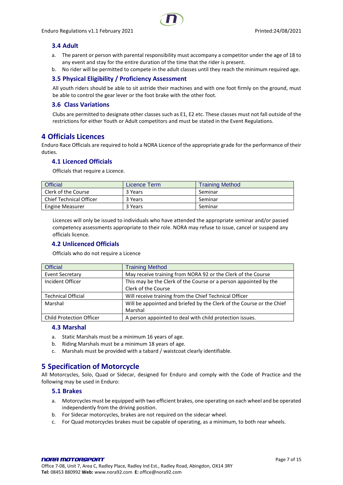#### <span id="page-6-0"></span>**3.4 Adult**

- a. The parent or person with parental responsibility must accompany a competitor under the age of 18 to any event and stay for the entire duration of the time that the rider is present.
- b. No rider will be permitted to compete in the adult classes until they reach the minimum required age.

#### <span id="page-6-1"></span>**3.5 Physical Eligibility / Proficiency Assessment**

All youth riders should be able to sit astride their machines and with one foot firmly on the ground, must be able to control the gear lever or the foot brake with the other foot.

#### <span id="page-6-2"></span>**3.6 Class Variations**

Clubs are permitted to designate other classes such as E1, E2 etc. These classes must not fall outside of the restrictions for either Youth or Adult competitors and must be stated in the Event Regulations.

# <span id="page-6-3"></span>**4 Officials Licences**

Enduro Race Officials are required to hold a NORA Licence of the appropriate grade for the performance of their duties.

#### <span id="page-6-4"></span>**4.1 Licenced Officials**

Officials that require a Licence.

| <b>Official</b>                | Licence Term | <b>Training Method</b> |
|--------------------------------|--------------|------------------------|
| Clerk of the Course            | 3 Years      | Seminar                |
| <b>Chief Technical Officer</b> | 3 Years      | Seminar                |
| <b>Engine Measurer</b>         | 3 Years      | Seminar                |

Licences will only be issued to individuals who have attended the appropriate seminar and/or passed competency assessments appropriate to their role. NORA may refuse to issue, cancel or suspend any officials licence.

#### <span id="page-6-5"></span>**4.2 Unlicenced Officials**

Officials who do not require a Licence

| <b>Official</b>                 | <b>Training Method</b>                                                |  |
|---------------------------------|-----------------------------------------------------------------------|--|
| <b>Event Secretary</b>          | May receive training from NORA 92 or the Clerk of the Course          |  |
| Incident Officer                | This may be the Clerk of the Course or a person appointed by the      |  |
|                                 | Clerk of the Course                                                   |  |
| <b>Technical Official</b>       | Will receive training from the Chief Technical Officer                |  |
| Marshal                         | Will be appointed and briefed by the Clerk of the Course or the Chief |  |
|                                 | Marshal                                                               |  |
| <b>Child Protection Officer</b> | A person appointed to deal with child protection issues.              |  |

#### <span id="page-6-6"></span>**4.3 Marshal**

- a. Static Marshals must be a minimum 16 years of age.
- b. Riding Marshals must be a minimum 18 years of age.
- c. Marshals must be provided with a tabard / waistcoat clearly identifiable.

# <span id="page-6-7"></span>**5 Specification of Motorcycle**

All Motorcycles, Solo, Quad or Sidecar, designed for Enduro and comply with the Code of Practice and the following may be used in Enduro:

#### <span id="page-6-8"></span>**5.1 Brakes**

- a. Motorcycles must be equipped with two efficient brakes, one operating on each wheel and be operated independently from the driving position.
- b. For Sidecar motorcycles, brakes are not required on the sidecar wheel.
- c. For Quad motorcycles brakes must be capable of operating, as a minimum, to both rear wheels.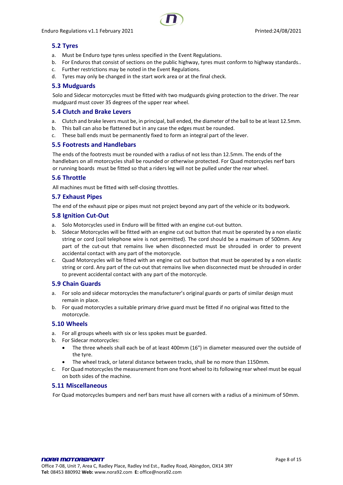### <span id="page-7-0"></span>**5.2 Tyres**

- a. Must be Enduro type tyres unless specified in the Event Regulations.
- b. For Enduros that consist of sections on the public highway, tyres must conform to highway standards..
- c. Further restrictions may be noted in the Event Regulations.
- d. Tyres may only be changed in the start work area or at the final check.

#### <span id="page-7-1"></span>**5.3 Mudguards**

Solo and Sidecar motorcycles must be fitted with two mudguards giving protection to the driver. The rear mudguard must cover 35 degrees of the upper rear wheel.

#### <span id="page-7-2"></span>**5.4 Clutch and Brake Levers**

- a. Clutch and brake levers must be, in principal, ball ended, the diameter of the ball to be at least 12.5mm.
- b. This ball can also be flattened but in any case the edges must be rounded.
- c. These ball ends must be permanently fixed to form an integral part of the lever.

#### <span id="page-7-3"></span>**5.5 Footrests and Handlebars**

The ends of the footrests must be rounded with a radius of not less than 12.5mm. The ends of the handlebars on all motorcycles shall be rounded or otherwise protected. For Quad motorcycles nerf bars or running boards must be fitted so that a riders leg will not be pulled under the rear wheel.

#### <span id="page-7-4"></span>**5.6 Throttle**

All machines must be fitted with self-closing throttles.

#### <span id="page-7-5"></span>**5.7 Exhaust Pipes**

The end of the exhaust pipe or pipes must not project beyond any part of the vehicle or its bodywork.

#### <span id="page-7-6"></span>**5.8 Ignition Cut-Out**

- a. Solo Motorcycles used in Enduro will be fitted with an engine cut-out button.
- b. Sidecar Motorcycles will be fitted with an engine cut out button that must be operated by a non elastic string or cord (coil telephone wire is not permitted). The cord should be a maximum of 500mm. Any part of the cut-out that remains live when disconnected must be shrouded in order to prevent accidental contact with any part of the motorcycle.
- c. Quad Motorcycles will be fitted with an engine cut out button that must be operated by a non elastic string or cord. Any part of the cut-out that remains live when disconnected must be shrouded in order to prevent accidental contact with any part of the motorcycle.

#### <span id="page-7-7"></span>**5.9 Chain Guards**

- a. For solo and sidecar motorcycles the manufacturer's original guards or parts of similar design must remain in place.
- b. For quad motorcycles a suitable primary drive guard must be fitted if no original was fitted to the motorcycle.

#### <span id="page-7-8"></span>**5.10 Wheels**

- a. For all groups wheels with six or less spokes must be guarded.
- b. For Sidecar motorcycles:
	- The three wheels shall each be of at least 400mm (16") in diameter measured over the outside of the tyre.
	- The wheel track, or lateral distance between tracks, shall be no more than 1150mm.
- c. For Quad motorcycles the measurement from one front wheel to its following rear wheel must be equal on both sides of the machine.

#### <span id="page-7-9"></span>**5.11 Miscellaneous**

For Quad motorcycles bumpers and nerf bars must have all corners with a radius of a minimum of 50mm.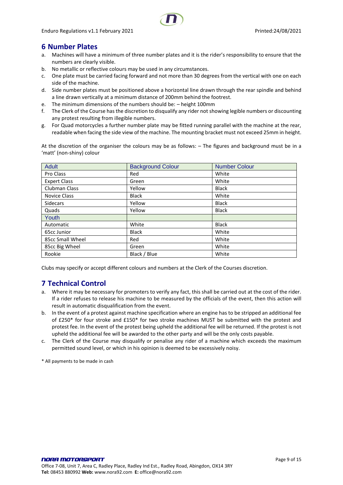# <span id="page-8-0"></span>**6 Number Plates**

- a. Machines will have a minimum of three number plates and it is the rider's responsibility to ensure that the numbers are clearly visible.
- b. No metallic or reflective colours may be used in any circumstances.
- c. One plate must be carried facing forward and not more than 30 degrees from the vertical with one on each side of the machine.
- d. Side number plates must be positioned above a horizontal line drawn through the rear spindle and behind a line drawn vertically at a minimum distance of 200mm behind the footrest.
- e. The minimum dimensions of the numbers should be: height 100mm
- f. The Clerk of the Course has the discretion to disqualify any rider not showing legible numbers or discounting any protest resulting from illegible numbers.
- g. For Quad motorcycles a further number plate may be fitted running parallel with the machine at the rear, readable when facing the side view of the machine. The mounting bracket must not exceed 25mm in height.

At the discretion of the organiser the colours may be as follows: – The figures and background must be in a 'matt' (non-shiny) colour

| Adult                | <b>Background Colour</b> | <b>Number Colour</b> |
|----------------------|--------------------------|----------------------|
| Pro Class            | Red                      | White                |
| <b>Expert Class</b>  | Green                    | White                |
| <b>Clubman Class</b> | Yellow                   | <b>Black</b>         |
| Novice Class         | <b>Black</b>             | White                |
| <b>Sidecars</b>      | Yellow                   | <b>Black</b>         |
| Quads                | Yellow                   | <b>Black</b>         |
| Youth                |                          |                      |
| Automatic            | White                    | <b>Black</b>         |
| 65cc Junior          | <b>Black</b>             | White                |
| 85cc Small Wheel     | Red                      | White                |
| 85cc Big Wheel       | Green                    | White                |
| Rookie               | Black / Blue             | White                |

<span id="page-8-1"></span>Clubs may specify or accept different colours and numbers at the Clerk of the Courses discretion.

# **7 Technical Control**

- a. Where it may be necessary for promoters to verify any fact, this shall be carried out at the cost of the rider. If a rider refuses to release his machine to be measured by the officials of the event, then this action will result in automatic disqualification from the event.
- b. In the event of a protest against machine specification where an engine has to be stripped an additional fee of £250\* for four stroke and £150\* for two stroke machines MUST be submitted with the protest and protest fee. In the event of the protest being upheld the additional fee will be returned. If the protest is not upheld the additional fee will be awarded to the other party and will be the only costs payable.
- c. The Clerk of the Course may disqualify or penalise any rider of a machine which exceeds the maximum permitted sound level, or which in his opinion is deemed to be excessively noisy.

\* All payments to be made in cash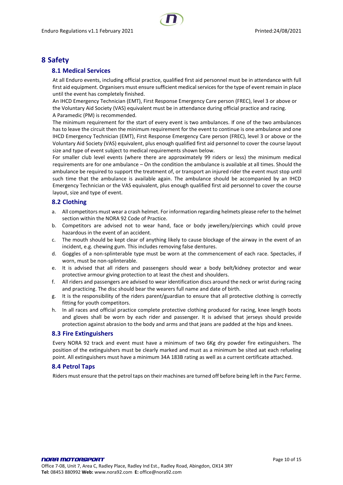# <span id="page-9-1"></span><span id="page-9-0"></span>**8 Safety**

#### **8.1 Medical Services**

At all Enduro events, including official practice, qualified first aid personnel must be in attendance with full first aid equipment. Organisers must ensure sufficient medical services for the type of event remain in place until the event has completely finished.

An IHCD Emergency Technician (EMT), First Response Emergency Care person (FREC), level 3 or above or the Voluntary Aid Society (VAS) equivalent must be in attendance during official practice and racing. A Paramedic (PM) is recommended.

The minimum requirement for the start of every event is two ambulances. If one of the two ambulances has to leave the circuit then the minimum requirement for the event to continue is one ambulance and one IHCD Emergency Technician (EMT), First Response Emergency Care person (FREC), level 3 or above or the Voluntary Aid Society (VAS) equivalent, plus enough qualified first aid personnel to cover the course layout size and type of event subject to medical requirements shown below.

For smaller club level events (where there are approximately 99 riders or less) the minimum medical requirements are for one ambulance – On the condition the ambulance is available at all times. Should the ambulance be required to support the treatment of, or transport an injured rider the event must stop until such time that the ambulance is available again. The ambulance should be accompanied by an IHCD Emergency Technician or the VAS equivalent, plus enough qualified first aid personnel to cover the course layout, size and type of event.

#### <span id="page-9-2"></span>**8.2 Clothing**

- a. All competitors must wear a crash helmet. For information regarding helmets please refer to the helmet section within the NORA 92 Code of Practice.
- b. Competitors are advised not to wear hand, face or body jewellery/piercings which could prove hazardous in the event of an accident.
- c. The mouth should be kept clear of anything likely to cause blockage of the airway in the event of an incident, e.g. chewing gum. This includes removing false dentures.
- d. Goggles of a non-splinterable type must be worn at the commencement of each race. Spectacles, if worn, must be non-splinterable.
- e. It is advised that all riders and passengers should wear a body belt/kidney protector and wear protective armour giving protection to at least the chest and shoulders.
- f. All riders and passengers are advised to wear identification discs around the neck or wrist during racing and practicing. The disc should bear the wearers full name and date of birth.
- g. It is the responsibility of the riders parent/guardian to ensure that all protective clothing is correctly fitting for youth competitors.
- h. In all races and official practice complete protective clothing produced for racing, knee length boots and gloves shall be worn by each rider and passenger. It is advised that jerseys should provide protection against abrasion to the body and arms and that jeans are padded at the hips and knees.

#### <span id="page-9-3"></span>**8.3 Fire Extinguishers**

Every NORA 92 track and event must have a minimum of two 6Kg dry powder fire extinguishers. The position of the extinguishers must be clearly marked and must as a minimum be sited aat each refueling point. All extinguishers must have a minimum 34A 183B rating as well as a current certificate attached.

#### <span id="page-9-4"></span>**8.4 Petrol Taps**

Riders must ensure that the petrol taps on their machines are turned off before being left in the Parc Ferme.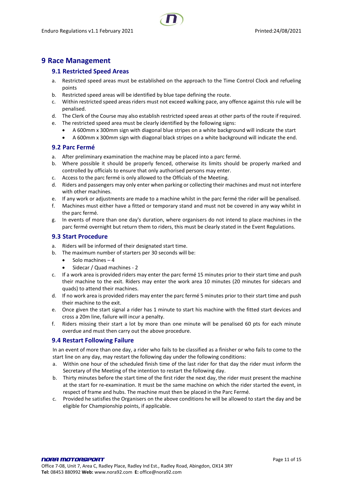# <span id="page-10-1"></span><span id="page-10-0"></span>**9 Race Management**

#### **9.1 Restricted Speed Areas**

- a. Restricted speed areas must be established on the approach to the Time Control Clock and refueling points
- b. Restricted speed areas will be identified by blue tape defining the route.
- c. Within restricted speed areas riders must not exceed walking pace, any offence against this rule will be penalised.
- d. The Clerk of the Course may also establish restricted speed areas at other parts of the route if required.
- e. The restricted speed area must be clearly identified by the following signs:
	- A 600mm x 300mm sign with diagonal blue stripes on a white background will indicate the start
	- A 600mm x 300mm sign with diagonal black stripes on a white background will indicate the end.

#### <span id="page-10-2"></span>**9.2 Parc Fermé**

- a. After preliminary examination the machine may be placed into a parc fermé.
- b. Where possible it should be properly fenced, otherwise its limits should be properly marked and controlled by officials to ensure that only authorised persons may enter.
- c. Access to the parc fermé is only allowed to the Officials of the Meeting.
- d. Riders and passengers may only enter when parking or collecting their machines and must not interfere with other machines.
- e. If any work or adjustments are made to a machine whilst in the parc fermé the rider will be penalised.
- f. Machines must either have a fitted or temporary stand and must not be covered in any way whilst in the parc fermé.
- g. In events of more than one day's duration, where organisers do not intend to place machines in the parc fermé overnight but return them to riders, this must be clearly stated in the Event Regulations.

#### <span id="page-10-3"></span>**9.3 Start Procedure**

- a. Riders will be informed of their designated start time.
- b. The maximum number of starters per 30 seconds will be:
	- Solo machines 4
	- Sidecar / Quad machines 2
- c. If a work area is provided riders may enter the parc fermé 15 minutes prior to their start time and push their machine to the exit. Riders may enter the work area 10 minutes (20 minutes for sidecars and quads) to attend their machines.
- d. If no work area is provided riders may enter the parc fermé 5 minutes prior to their start time and push their machine to the exit.
- e. Once given the start signal a rider has 1 minute to start his machine with the fitted start devices and cross a 20m line, failure will incur a penalty.
- f. Riders missing their start a lot by more than one minute will be penalised 60 pts for each minute overdue and must then carry out the above procedure.

#### <span id="page-10-4"></span>**9.4 Restart Following Failure**

In an event of more than one day, a rider who fails to be classified as a finisher or who fails to come to the start line on any day, may restart the following day under the following conditions:

- a. Within one hour of the scheduled finish time of the last rider for that day the rider must inform the Secretary of the Meeting of the intention to restart the following day.
- b. Thirty minutes before the start time of the first rider the next day, the rider must present the machine at the start for re-examination. It must be the same machine on which the rider started the event, in respect of frame and hubs. The machine must then be placed in the Parc Fermé.
- c. Provided he satisfies the Organisers on the above conditions he will be allowed to start the day and be eligible for Championship points, if applicable.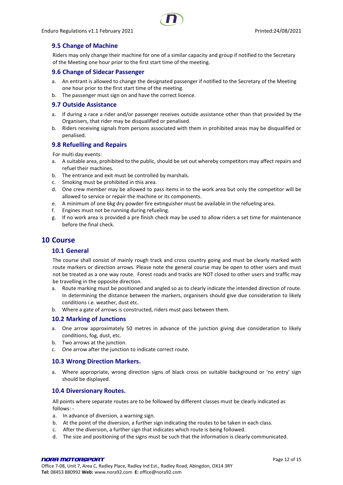#### <span id="page-11-0"></span>**9.5 Change of Machine**

Riders may only change their machine for one of a similar capacity and group if notified to the Secretary of the Meeting one hour prior to the first start time of the meeting.

#### <span id="page-11-1"></span>**9.6 Change of Sidecar Passenger**

- a. An entrant is allowed to change the designated passenger if notified to the Secretary of the Meeting one hour prior to the first start time of the meeting.
- b. The passenger must sign on and have the correct licence.

#### <span id="page-11-2"></span>**9.7 Outside Assistance**

- a. If during a race a rider and/or passenger receives outside assistance other than that provided by the Organisers, that rider may be disqualified or penalised.
- b. Riders receiving signals from persons associated with them in prohibited areas may be disqualified or penalised.

#### <span id="page-11-3"></span>**9.8 Refuelling and Repairs**

For multi day events:

- a. A suitable area, prohibited to the public, should be set out whereby competitors may affect repairs and refuel their machines.
- b. The entrance and exit must be controlled by marshals.
- c. Smoking must be prohibited in this area.
- d. One crew member may be allowed to pass items in to the work area but only the competitor will be allowed to service or repair the machine or its components.
- e. A minimum of one 6kg dry powder fire extinguisher must be available in the refueling area.
- f. Engines must not be running during refueling.
- g. If no work area is provided a pre finish check may be used to allow riders a set time for maintenance before the final check.

#### <span id="page-11-5"></span><span id="page-11-4"></span>**10 Course**

#### **10.1 General**

The course shall consist of mainly rough track and cross country going and must be clearly marked with route markers or direction arrows. Please note the general course may be open to other users and must not be treated as a one way route. Forest roads and tracks are NOT closed to other users and traffic may be travelling in the opposite direction.

- a. Route marking must be positioned and angled so as to clearly indicate the intended direction of route. In determining the distance between the markers, organisers should give due consideration to likely conditions i.e. weather, dust etc.
- b. Where a gate of arrows is constructed, riders must pass between them.

#### <span id="page-11-6"></span>**10.2 Marking of Junctions**

- a. One arrow approximately 50 metres in advance of the junction giving due consideration to likely conditions, fog, dust, etc.
- b. Two arrows at the junction.
- c. One arrow after the junction to indicate correct route.

#### <span id="page-11-7"></span>**10.3 Wrong Direction Markers.**

a. Where appropriate, wrong direction signs of black cross on suitable background or 'no entry' sign should be displayed.

#### <span id="page-11-8"></span>**10.4 Diversionary Routes.**

All points where separate routes are to be followed by different classes must be clearly indicated as follows: -

- a. In advance of diversion, a warning sign.
- b. At the point of the diversion, a further sign indicating the routes to be taken in each class.
- c. After the diversion, a further sign that indicates which route is being followed.
- d. The size and positioning of the signs must be such that the information is clearly communicated.

#### NORA MOTORSPORT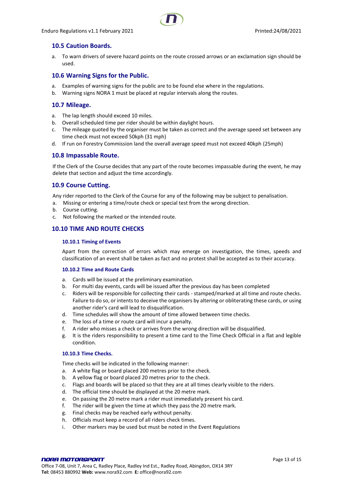

#### <span id="page-12-0"></span>**10.5 Caution Boards.**

a. To warn drivers of severe hazard points on the route crossed arrows or an exclamation sign should be used.

#### <span id="page-12-1"></span>**10.6 Warning Signs for the Public.**

- a. Examples of warning signs for the public are to be found else where in the regulations.
- b. Warning signs NORA 1 must be placed at regular intervals along the routes.

#### <span id="page-12-2"></span>**10.7 Mileage.**

- a. The lap length should exceed 10 miles.
- b. Overall scheduled time per rider should be within daylight hours.
- c. The mileage quoted by the organiser must be taken as correct and the average speed set between any time check must not exceed 50kph (31 mph)
- d. If run on Forestry Commission land the overall average speed must not exceed 40kph (25mph)

#### <span id="page-12-3"></span>**10.8 Impassable Route.**

If the Clerk of the Course decides that any part of the route becomes impassable during the event, he may delete that section and adjust the time accordingly.

#### <span id="page-12-4"></span>**10.9 Course Cutting.**

Any rider reported to the Clerk of the Course for any of the following may be subject to penalisation.

- a. Missing or entering a time/route check or special test from the wrong direction.
- b. Course cutting.
- c. Not following the marked or the intended route.

#### <span id="page-12-6"></span><span id="page-12-5"></span>**10.10 TIME AND ROUTE CHECKS**

#### **10.10.1 Timing of Events**

Apart from the correction of errors which may emerge on investigation, the times, speeds and classification of an event shall be taken as fact and no protest shall be accepted as to their accuracy.

#### <span id="page-12-7"></span>**10.10.2 Time and Route Cards**

- a. Cards will be issued at the preliminary examination.
- b. For multi day events, cards will be issued after the previous day has been completed
- c. Riders will be responsible for collecting their cards stamped/marked at all time and route checks. Failure to do so, or intents to deceive the organisers by altering or obliterating these cards, or using another rider's card will lead to disqualification.
- d. Time schedules will show the amount of time allowed between time checks.
- e. The loss of a time or route card will incur a penalty.
- f. A rider who misses a check or arrives from the wrong direction will be disqualified.
- g. It is the riders responsibility to present a time card to the Time Check Official in a flat and legible condition.

#### <span id="page-12-8"></span>**10.10.3 Time Checks.**

Time checks will be indicated in the following manner:

- a. A white flag or board placed 200 metres prior to the check.
- b. A yellow flag or board placed 20 metres prior to the check.
- c. Flags and boards will be placed so that they are at all times clearly visible to the riders.
- d. The official time should be displayed at the 20 metre mark.
- e. On passing the 20 metre mark a rider must immediately present his card.
- f. The rider will be given the time at which they pass the 20 metre mark.
- g. Final checks may be reached early without penalty.
- h. Officials must keep a record of all riders check times.
- i. Other markers may be used but must be noted in the Event Regulations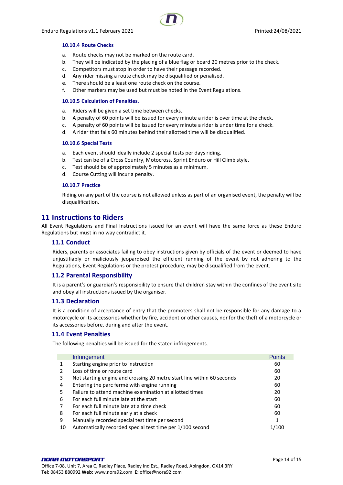#### <span id="page-13-0"></span>**10.10.4 Route Checks**

- a. Route checks may not be marked on the route card.
- b. They will be indicated by the placing of a blue flag or board 20 metres prior to the check.
- c. Competitors must stop in order to have their passage recorded.
- d. Any rider missing a route check may be disqualified or penalised.
- e. There should be a least one route check on the course.
- f. Other markers may be used but must be noted in the Event Regulations.

#### <span id="page-13-1"></span>**10.10.5 Calculation of Penalties.**

- a. Riders will be given a set time between checks.
- b. A penalty of 60 points will be issued for every minute a rider is over time at the check.
- c. A penalty of 60 points will be issued for every minute a rider is under time for a check.
- d. A rider that falls 60 minutes behind their allotted time will be disqualified.

#### <span id="page-13-2"></span>**10.10.6 Special Tests**

- a. Each event should ideally include 2 special tests per days riding.
- b. Test can be of a Cross Country, Motocross, Sprint Enduro or Hill Climb style.
- c. Test should be of approximately 5 minutes as a minimum.
- d. Course Cutting will incur a penalty.

#### <span id="page-13-3"></span>**10.10.7 Practice**

Riding on any part of the course is not allowed unless as part of an organised event, the penalty will be disqualification.

### <span id="page-13-4"></span>**11 Instructions to Riders**

All Event Regulations and Final Instructions issued for an event will have the same force as these Enduro Regulations but must in no way contradict it.

#### <span id="page-13-5"></span>**11.1 Conduct**

Riders, parents or associates failing to obey instructions given by officials of the event or deemed to have unjustifiably or maliciously jeopardised the efficient running of the event by not adhering to the Regulations, Event Regulations or the protest procedure, may be disqualified from the event.

#### <span id="page-13-6"></span>**11.2 Parental Responsibility**

It is a parent's or guardian's responsibility to ensure that children stay within the confines of the event site and obey all instructions issued by the organiser.

#### <span id="page-13-7"></span>**11.3 Declaration**

It is a condition of acceptance of entry that the promoters shall not be responsible for any damage to a motorcycle or its accessories whether by fire, accident or other causes, nor for the theft of a motorcycle or its accessories before, during and after the event.

#### <span id="page-13-8"></span>**11.4 Event Penalties**

The following penalties will be issued for the stated infringements.

|    | Infringement                                                           | <b>Points</b> |
|----|------------------------------------------------------------------------|---------------|
|    | Starting engine prior to instruction                                   | 60            |
|    | Loss of time or route card                                             | 60            |
| 3  | Not starting engine and crossing 20 metre start line within 60 seconds | 20            |
| 4  | Entering the parc fermé with engine running                            | 60            |
| 5. | Failure to attend machine examination at allotted times                | 20            |
| 6  | For each full minute late at the start                                 | 60            |
|    | For each full minute late at a time check                              | 60            |
| 8  | For each full minute early at a check                                  | 60            |
| 9  | Manually recorded special test time per second                         | 1             |
| 10 | Automatically recorded special test time per 1/100 second              | 1/100         |